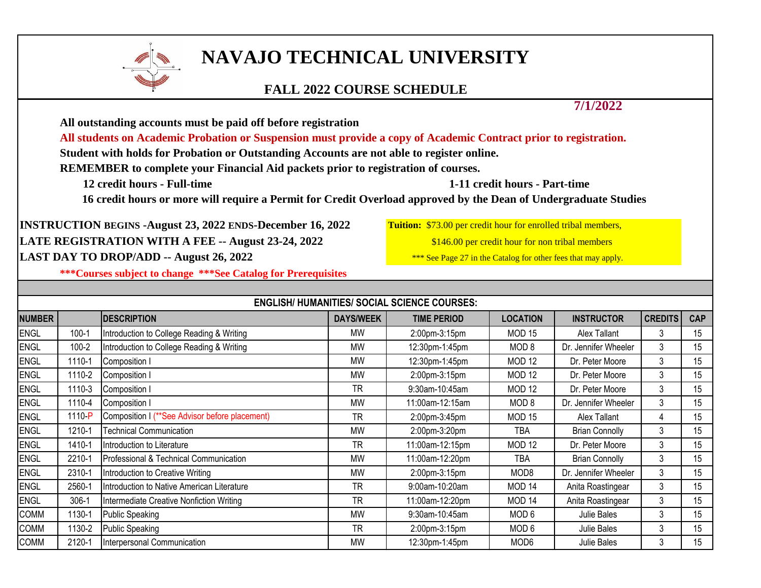

## **NAVAJO TECHNICAL UNIVERSITY**

## **FALL 2022 COURSE SCHEDULE**

**7/1/2022**

**All outstanding accounts must be paid off before registration**

**All students on Academic Probation or Suspension must provide a copy of Academic Contract prior to registration.**

**Student with holds for Probation or Outstanding Accounts are not able to register online.**

**REMEMBER to complete your Financial Aid packets prior to registration of courses.**

 **12 credit hours - Full-time 1-11 credit hours - Part-time** 

**16 credit hours or more will require a Permit for Credit Overload approved by the Dean of Undergraduate Studies** 

**INSTRUCTION BEGINS -August 23, 2022 ENDS-December 16, 2022 Tuition:** \$73.00 per credit hour for enrolled tribal members, LATE REGISTRATION WITH A FEE -- August 23-24, 2022 **1998** \$146.00 per credit hour for non tribal members LAST DAY TO DROP/ADD -- August 26, 2022

**\*\*\*Courses subject to change \*\*\*See Catalog for Prerequisites**

|               |           |                                                |                  | <b>ENGLISH/ HUMANITIES/ SOCIAL SCIENCE COURSES:</b> |                   |                       |                |            |
|---------------|-----------|------------------------------------------------|------------------|-----------------------------------------------------|-------------------|-----------------------|----------------|------------|
| <b>NUMBER</b> |           | <b>IDESCRIPTION</b>                            | <b>DAYS/WEEK</b> | <b>TIME PERIOD</b>                                  | <b>LOCATION</b>   | <b>INSTRUCTOR</b>     | <b>CREDITS</b> | <b>CAP</b> |
| <b>ENGL</b>   | $100 - 1$ | Introduction to College Reading & Writing      | MW               | 2:00pm-3:15pm                                       | MOD <sub>15</sub> | Alex Tallant          | 3              | 15         |
| <b>ENGL</b>   | $100 - 2$ | Introduction to College Reading & Writing      | <b>MW</b>        | 12:30pm-1:45pm                                      | MOD <sub>8</sub>  | Dr. Jennifer Wheeler  | 3              | 15         |
| <b>ENGL</b>   | 1110-1    | Composition I                                  | <b>MW</b>        | 12:30pm-1:45pm                                      | MOD <sub>12</sub> | Dr. Peter Moore       | 3              | 15         |
| <b>ENGL</b>   | 1110-2    | Composition I                                  | MW               | 2:00pm-3:15pm                                       | MOD <sub>12</sub> | Dr. Peter Moore       | 3              | 15         |
| <b>ENGL</b>   | 1110-3    | Composition I                                  | <b>TR</b>        | 9:30am-10:45am                                      | MOD <sub>12</sub> | Dr. Peter Moore       | 3              | 15         |
| <b>ENGL</b>   | 1110-4    | Composition I                                  | <b>MW</b>        | 11:00am-12:15am                                     | MOD <sub>8</sub>  | Dr. Jennifer Wheeler  | 3              | 15         |
| <b>ENGL</b>   | 1110-P    | Composition I (**See Advisor before placement) | <b>TR</b>        | 2:00pm-3:45pm                                       | MOD <sub>15</sub> | Alex Tallant          | 4              | 15         |
| <b>ENGL</b>   | 1210-1    | <b>Technical Communication</b>                 | <b>MW</b>        | 2:00pm-3:20pm                                       | TBA               | <b>Brian Connolly</b> | 3              | 15         |
| <b>ENGL</b>   | 1410-1    | Introduction to Literature                     | <b>TR</b>        | 11:00am-12:15pm                                     | MOD <sub>12</sub> | Dr. Peter Moore       | 3              | 15         |
| ENGL          | 2210-1    | Professional & Technical Communication         | <b>MW</b>        | 11:00am-12:20pm                                     | TBA               | <b>Brian Connolly</b> | 3              | 15         |
| ENGL          | 2310-1    | Introduction to Creative Writing               | MW               | 2:00pm-3:15pm                                       | MOD <sub>8</sub>  | Dr. Jennifer Wheeler  | 3              | 15         |
| <b>ENGL</b>   | 2560-1    | Introduction to Native American Literature     | <b>TR</b>        | 9:00am-10:20am                                      | MOD <sub>14</sub> | Anita Roastingear     | 3              | 15         |
| <b>ENGL</b>   | 306-1     | Intermediate Creative Nonfiction Writing       | <b>TR</b>        | 11:00am-12:20pm                                     | MOD <sub>14</sub> | Anita Roastingear     | 3              | 15         |
| <b>COMM</b>   | 1130-1    | Public Speaking                                | MW               | 9:30am-10:45am                                      | MOD <sub>6</sub>  | Julie Bales           | 3              | 15         |
| <b>COMM</b>   | 1130-2    | <b>Public Speaking</b>                         | TR               | 2:00pm-3:15pm                                       | MOD <sub>6</sub>  | Julie Bales           | 3              | 15         |
| <b>COMM</b>   | 2120-1    | Interpersonal Communication                    | <b>MW</b>        | 12:30pm-1:45pm                                      | MOD <sub>6</sub>  | Julie Bales           | 3              | 15         |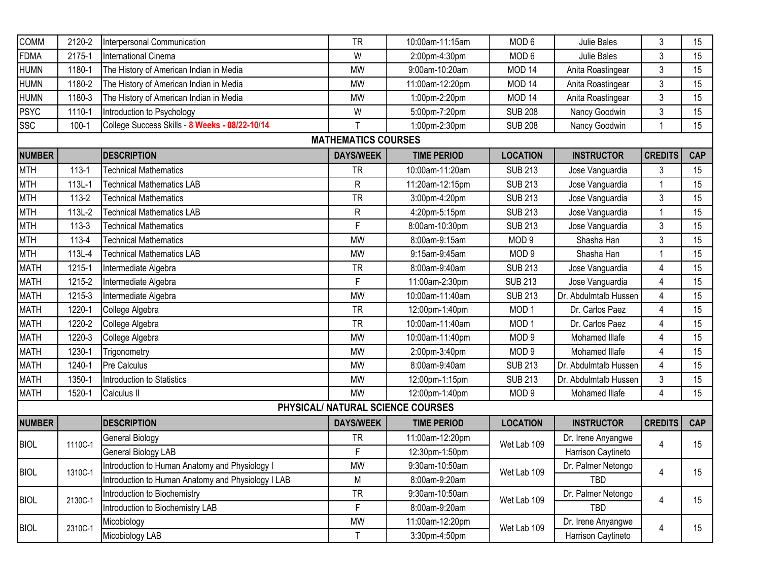| <b>COMM</b>   | 2120-2    | Interpersonal Communication                        | <b>TR</b>                  | 10:00am-11:15am                   | MOD <sub>6</sub>  | Julie Bales           | 3              | 15         |
|---------------|-----------|----------------------------------------------------|----------------------------|-----------------------------------|-------------------|-----------------------|----------------|------------|
| <b>FDMA</b>   | 2175-1    | International Cinema                               | W                          | 2:00pm-4:30pm                     | MOD <sub>6</sub>  | Julie Bales           | 3              | 15         |
| <b>HUMN</b>   | 1180-1    | The History of American Indian in Media            | <b>MW</b>                  | 9:00am-10:20am                    | MOD <sub>14</sub> | Anita Roastingear     | 3              | 15         |
| <b>HUMN</b>   | 1180-2    | The History of American Indian in Media            | <b>MW</b>                  | 11:00am-12:20pm                   | MOD <sub>14</sub> | Anita Roastingear     | 3              | 15         |
| <b>HUMN</b>   | 1180-3    | The History of American Indian in Media            | <b>MW</b>                  | 1:00pm-2:20pm                     | MOD <sub>14</sub> | Anita Roastingear     | 3              | 15         |
| PSYC          | 1110-1    | Introduction to Psychology                         | W                          | 5:00pm-7:20pm                     | <b>SUB 208</b>    | Nancy Goodwin         | 3              | 15         |
| <b>SSC</b>    | $100 - 1$ | College Success Skills - 8 Weeks - 08/22-10/14     | $\mathsf{T}$               | 1:00pm-2:30pm                     | <b>SUB 208</b>    | Nancy Goodwin         |                | 15         |
|               |           |                                                    | <b>MATHEMATICS COURSES</b> |                                   |                   |                       |                |            |
| <b>NUMBER</b> |           | <b>DESCRIPTION</b>                                 | <b>DAYS/WEEK</b>           | <b>TIME PERIOD</b>                | <b>LOCATION</b>   | <b>INSTRUCTOR</b>     | <b>CREDITS</b> | <b>CAP</b> |
| MTH           | $113 - 1$ | <b>Technical Mathematics</b>                       | <b>TR</b>                  | 10:00am-11:20am                   | <b>SUB 213</b>    | Jose Vanguardia       | 3              | 15         |
| MTH           | 113L-1    | <b>Technical Mathematics LAB</b>                   | R                          | 11:20am-12:15pm                   | <b>SUB 213</b>    | Jose Vanguardia       |                | 15         |
| MTH           | 113-2     | <b>Technical Mathematics</b>                       | <b>TR</b>                  | 3:00pm-4:20pm                     | <b>SUB 213</b>    | Jose Vanguardia       | 3              | 15         |
| MTH           | 113L-2    | <b>Technical Mathematics LAB</b>                   | R                          | 4:20pm-5:15pm                     | <b>SUB 213</b>    | Jose Vanguardia       | 1              | 15         |
| MTH           | $113 - 3$ | <b>Technical Mathematics</b>                       | $\mathsf F$                | 8:00am-10:30pm                    | <b>SUB 213</b>    | Jose Vanguardia       | 3              | 15         |
| MTH           | 113-4     | <b>Technical Mathematics</b>                       | <b>MW</b>                  | 8:00am-9:15am                     | MOD <sub>9</sub>  | Shasha Han            | 3              | 15         |
| MTH           | 113L-4    | <b>Technical Mathematics LAB</b>                   | <b>MW</b>                  | 9:15am-9:45am                     | MOD <sub>9</sub>  | Shasha Han            |                | 15         |
| <b>MATH</b>   | 1215-1    | Intermediate Algebra                               | <b>TR</b>                  | 8:00am-9:40am                     | <b>SUB 213</b>    | Jose Vanguardia       | 4              | 15         |
| <b>MATH</b>   | 1215-2    | Intermediate Algebra                               | F                          | 11:00am-2:30pm                    | <b>SUB 213</b>    | Jose Vanguardia       | $\overline{4}$ | 15         |
| MATH          | 1215-3    | Intermediate Algebra                               | <b>MW</b>                  | 10:00am-11:40am                   | <b>SUB 213</b>    | Dr. Abdulmtalb Hussen | 4              | 15         |
| MATH          | 1220-1    | College Algebra                                    | <b>TR</b>                  | 12:00pm-1:40pm                    | MOD <sub>1</sub>  | Dr. Carlos Paez       | $\overline{4}$ | 15         |
| MATH          | 1220-2    | College Algebra                                    | <b>TR</b>                  | 10:00am-11:40am                   | MOD <sub>1</sub>  | Dr. Carlos Paez       | 4              | 15         |
| <b>MATH</b>   | 1220-3    | College Algebra                                    | <b>MW</b>                  | 10:00am-11:40pm                   | MOD <sub>9</sub>  | Mohamed Illafe        | 4              | 15         |
| <b>MATH</b>   | 1230-1    | Trigonometry                                       | <b>MW</b>                  | 2:00pm-3:40pm                     | MOD <sub>9</sub>  | Mohamed Illafe        | 4              | 15         |
| MATH          | 1240-1    | Pre Calculus                                       | <b>MW</b>                  | 8:00am-9:40am                     | <b>SUB 213</b>    | Dr. Abdulmtalb Hussen | $\overline{4}$ | 15         |
| <b>MATH</b>   | 1350-1    | Introduction to Statistics                         | <b>MW</b>                  | 12:00pm-1:15pm                    | <b>SUB 213</b>    | Dr. Abdulmtalb Hussen | 3              | 15         |
| MATH          | 1520-1    | Calculus II                                        | <b>MW</b>                  | 12:00pm-1:40pm                    | MOD <sub>9</sub>  | Mohamed Illafe        | 4              | 15         |
|               |           |                                                    |                            | PHYSICAL/ NATURAL SCIENCE COURSES |                   |                       |                |            |
| <b>NUMBER</b> |           | <b>DESCRIPTION</b>                                 | <b>DAYS/WEEK</b>           | <b>TIME PERIOD</b>                | <b>LOCATION</b>   | <b>INSTRUCTOR</b>     | <b>CREDITS</b> | <b>CAP</b> |
|               | 1110C-1   | General Biology                                    | <b>TR</b>                  | 11:00am-12:20pm                   |                   | Dr. Irene Anyangwe    |                |            |
| <b>BIOL</b>   |           | General Biology LAB                                | F                          | 12:30pm-1:50pm                    | Wet Lab 109       | Harrison Caytineto    | 4              | 15         |
| <b>BIOL</b>   | 1310C-1   | Introduction to Human Anatomy and Physiology I     | MW                         | 9:30am-10:50am                    |                   | Dr. Palmer Netongo    |                | 15         |
|               |           | Introduction to Human Anatomy and Physiology I LAB | M                          | 8:00am-9:20am                     | Wet Lab 109       | TBD                   | 4              |            |
|               | 2130C-1   | Introduction to Biochemistry                       | <b>TR</b>                  | 9:30am-10:50am                    | Wet Lab 109       | Dr. Palmer Netongo    |                |            |
| <b>BIOL</b>   |           | Introduction to Biochemistry LAB                   | F                          | 8:00am-9:20am                     |                   | TBD                   | 4              | 15         |
|               |           | Micobiology                                        | MW                         | 11:00am-12:20pm                   |                   | Dr. Irene Anyangwe    |                |            |
| <b>BIOL</b>   | 2310C-1   | Micobiology LAB                                    | $\mathsf{T}$               | 3:30pm-4:50pm                     | Wet Lab 109       | Harrison Caytineto    | 4              | 15         |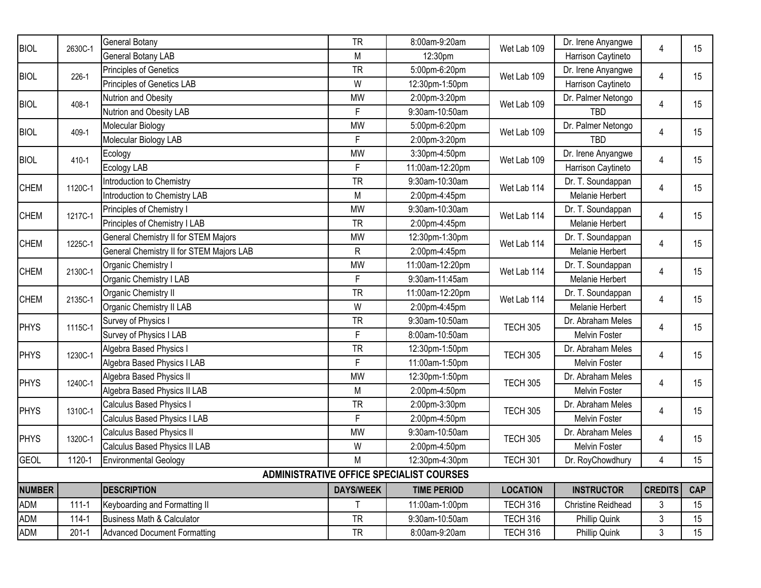| <b>BIOL</b>   | 2630C-1   | General Botany                                  | <b>TR</b>        | 8:00am-9:20am                                   | Wet Lab 109     | Dr. Irene Anyangwe | 4              | 15         |
|---------------|-----------|-------------------------------------------------|------------------|-------------------------------------------------|-----------------|--------------------|----------------|------------|
|               |           | General Botany LAB                              | M                | 12:30pm                                         |                 | Harrison Caytineto |                |            |
| <b>BIOL</b>   | 226-1     | Principles of Genetics                          | <b>TR</b>        | 5:00pm-6:20pm                                   | Wet Lab 109     | Dr. Irene Anyangwe | 4              | 15         |
|               |           | Principles of Genetics LAB                      | W                | 12:30pm-1:50pm                                  |                 | Harrison Caytineto |                |            |
| <b>BIOL</b>   | 408-1     | Nutrion and Obesity                             | <b>MW</b>        | 2:00pm-3:20pm                                   | Wet Lab 109     | Dr. Palmer Netongo | 4              | 15         |
|               |           | Nutrion and Obesity LAB                         | F                | 9:30am-10:50am                                  |                 | <b>TBD</b>         |                |            |
| <b>BIOL</b>   | 409-1     | Molecular Biology                               | <b>MW</b>        | 5:00pm-6:20pm                                   | Wet Lab 109     | Dr. Palmer Netongo | 4              | 15         |
|               |           | Molecular Biology LAB                           | F                | 2:00pm-3:20pm                                   |                 | <b>TBD</b>         |                |            |
| <b>BIOL</b>   | 410-1     | Ecology                                         | <b>MW</b>        | 3:30pm-4:50pm                                   | Wet Lab 109     | Dr. Irene Anyangwe | 4              | 15         |
|               |           | Ecology LAB                                     | $\mathsf{F}$     | 11:00am-12:20pm                                 |                 | Harrison Caytineto |                |            |
| <b>CHEM</b>   | 1120C-1   | Introduction to Chemistry                       | <b>TR</b>        | 9:30am-10:30am                                  | Wet Lab 114     | Dr. T. Soundappan  | 4              | 15         |
|               |           | Introduction to Chemistry LAB                   | M                | 2:00pm-4:45pm                                   |                 | Melanie Herbert    |                |            |
| <b>CHEM</b>   | 1217C-1   | Principles of Chemistry I                       | <b>MW</b>        | 9:30am-10:30am                                  | Wet Lab 114     | Dr. T. Soundappan  | 4              | 15         |
|               |           | Principles of Chemistry I LAB                   | <b>TR</b>        | 2:00pm-4:45pm                                   |                 | Melanie Herbert    |                |            |
| <b>CHEM</b>   | 1225C-1   | General Chemistry II for STEM Majors            | <b>MW</b>        | 12:30pm-1:30pm                                  | Wet Lab 114     | Dr. T. Soundappan  | 4              | 15         |
|               |           | <b>General Chemistry II for STEM Majors LAB</b> | ${\sf R}$        | 2:00pm-4:45pm                                   |                 | Melanie Herbert    |                |            |
| <b>CHEM</b>   | 2130C-1   | Organic Chemistry I                             | <b>MW</b>        | 11:00am-12:20pm                                 | Wet Lab 114     | Dr. T. Soundappan  | 4              | 15         |
|               |           | Organic Chemistry I LAB                         | $\mathsf F$      | 9:30am-11:45am                                  |                 | Melanie Herbert    |                |            |
| <b>CHEM</b>   | 2135C-1   | Organic Chemistry II                            | <b>TR</b>        | 11:00am-12:20pm                                 | Wet Lab 114     | Dr. T. Soundappan  | 4              | 15         |
|               |           | Organic Chemistry II LAB                        | W                | 2:00pm-4:45pm                                   |                 | Melanie Herbert    |                |            |
| <b>PHYS</b>   | 1115C-1   | Survey of Physics I                             | <b>TR</b>        | 9:30am-10:50am                                  | <b>TECH 305</b> | Dr. Abraham Meles  | 4              | 15         |
|               |           | Survey of Physics I LAB                         | $\mathsf F$      | 8:00am-10:50am                                  |                 | Melvin Foster      | 4              |            |
| <b>PHYS</b>   | 1230C-1   | Algebra Based Physics I                         | <b>TR</b>        | 12:30pm-1:50pm                                  | <b>TECH 305</b> | Dr. Abraham Meles  |                | 15         |
|               |           | Algebra Based Physics I LAB                     | $\mathsf F$      | 11:00am-1:50pm                                  |                 | Melvin Foster      |                |            |
| PHYS          | 1240C-1   | Algebra Based Physics II                        | <b>MW</b>        | 12:30pm-1:50pm                                  | <b>TECH 305</b> | Dr. Abraham Meles  | 4              | 15         |
|               |           | Algebra Based Physics II LAB                    | M                | 2:00pm-4:50pm                                   |                 | Melvin Foster      |                |            |
| PHYS          | 1310C-1   | <b>Calculus Based Physics I</b>                 | <b>TR</b>        | 2:00pm-3:30pm                                   | <b>TECH 305</b> | Dr. Abraham Meles  | 4              | 15         |
|               |           | Calculus Based Physics I LAB                    | F                | 2:00pm-4:50pm                                   |                 | Melvin Foster      |                |            |
| PHYS          | 1320C-1   | Calculus Based Physics II                       | <b>MW</b>        | 9:30am-10:50am                                  | <b>TECH 305</b> | Dr. Abraham Meles  | 4              | 15         |
|               |           | Calculus Based Physics II LAB                   | W                | 2:00pm-4:50pm                                   |                 | Melvin Foster      |                |            |
| <b>GEOL</b>   | 1120-1    | <b>Environmental Geology</b>                    | M                | 12:30pm-4:30pm                                  | <b>TECH 301</b> | Dr. RoyChowdhury   | 4              | 15         |
|               |           |                                                 |                  | <b>ADMINISTRATIVE OFFICE SPECIALIST COURSES</b> |                 |                    |                |            |
| <b>NUMBER</b> |           | <b>DESCRIPTION</b>                              | <b>DAYS/WEEK</b> | <b>TIME PERIOD</b>                              | <b>LOCATION</b> | <b>INSTRUCTOR</b>  | <b>CREDITS</b> | <b>CAP</b> |
| ADM           | $111 - 1$ | Keyboarding and Formatting II                   | T                | 11:00am-1:00pm                                  | <b>TECH 316</b> | Christine Reidhead | 3              | 15         |
| <b>ADM</b>    | $114 - 1$ | Business Math & Calculator                      | <b>TR</b>        | 9:30am-10:50am                                  | <b>TECH 316</b> | Phillip Quink      | 3              | 15         |
| ADM           | $201 - 1$ | <b>Advanced Document Formatting</b>             | <b>TR</b>        | 8:00am-9:20am                                   | <b>TECH 316</b> | Phillip Quink      | 3              | 15         |
|               |           |                                                 |                  |                                                 |                 |                    |                |            |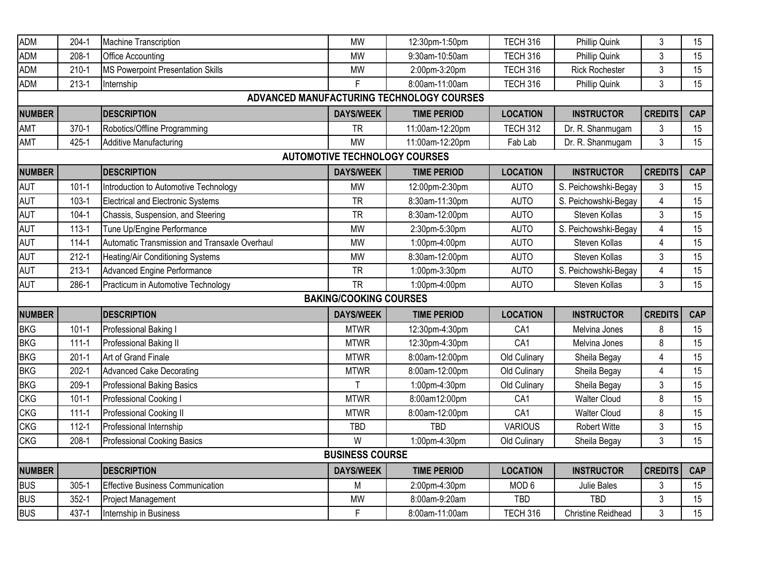| <b>ADM</b>                           | $204-1$   | Machine Transcription                         | <b>MW</b>                     | 12:30pm-1:50pm                            | <b>TECH 316</b>  | Phillip Quink             | 3              | 15         |  |  |  |  |
|--------------------------------------|-----------|-----------------------------------------------|-------------------------------|-------------------------------------------|------------------|---------------------------|----------------|------------|--|--|--|--|
| <b>ADM</b>                           | $208-1$   | Office Accounting                             | <b>MW</b>                     | 9:30am-10:50am                            | <b>TECH 316</b>  | Phillip Quink             | 3              | 15         |  |  |  |  |
| ADM                                  | $210 - 1$ | MS Powerpoint Presentation Skills             | <b>MW</b>                     | 2:00pm-3:20pm                             | <b>TECH 316</b>  | <b>Rick Rochester</b>     | 3              | 15         |  |  |  |  |
| <b>ADM</b>                           | $213 - 1$ | Internship                                    | F                             | 8:00am-11:00am                            | TECH 316         | Phillip Quink             | $\mathfrak{S}$ | 15         |  |  |  |  |
|                                      |           |                                               |                               | ADVANCED MANUFACTURING TECHNOLOGY COURSES |                  |                           |                |            |  |  |  |  |
| <b>NUMBER</b>                        |           | <b>DESCRIPTION</b>                            | <b>DAYS/WEEK</b>              | <b>TIME PERIOD</b>                        | <b>LOCATION</b>  | <b>INSTRUCTOR</b>         | <b>CREDITS</b> | <b>CAP</b> |  |  |  |  |
| <b>AMT</b>                           | $370-1$   | Robotics/Offline Programming                  | <b>TR</b>                     | 11:00am-12:20pm                           | <b>TECH 312</b>  | Dr. R. Shanmugam          | 3              | 15         |  |  |  |  |
| AMT                                  | 425-1     | <b>Additive Manufacturing</b>                 | <b>MW</b>                     | 11:00am-12:20pm                           | Fab Lab          | Dr. R. Shanmugam          | $\mathfrak{S}$ | 15         |  |  |  |  |
| <b>AUTOMOTIVE TECHNOLOGY COURSES</b> |           |                                               |                               |                                           |                  |                           |                |            |  |  |  |  |
| <b>NUMBER</b>                        |           | <b>DESCRIPTION</b>                            | <b>DAYS/WEEK</b>              | <b>TIME PERIOD</b>                        | <b>LOCATION</b>  | <b>INSTRUCTOR</b>         | <b>CREDITS</b> | <b>CAP</b> |  |  |  |  |
| <b>AUT</b>                           | $101 - 1$ | Introduction to Automotive Technology         | <b>MW</b>                     | 12:00pm-2:30pm                            | <b>AUTO</b>      | S. Peichowshki-Begay      | 3              | 15         |  |  |  |  |
| AUT                                  | $103 - 1$ | <b>Electrical and Electronic Systems</b>      | <b>TR</b>                     | 8:30am-11:30pm                            | <b>AUTO</b>      | S. Peichowshki-Begay      | $\overline{4}$ | 15         |  |  |  |  |
| <b>AUT</b>                           | $104 - 1$ | Chassis, Suspension, and Steering             | <b>TR</b>                     | 8:30am-12:00pm                            | <b>AUTO</b>      | Steven Kollas             | 3              | 15         |  |  |  |  |
| <b>AUT</b>                           | $113 - 1$ | Tune Up/Engine Performance                    | <b>MW</b>                     | 2:30pm-5:30pm                             | <b>AUTO</b>      | S. Peichowshki-Begay      | $\overline{4}$ | 15         |  |  |  |  |
| <b>AUT</b>                           | $114 - 1$ | Automatic Transmission and Transaxle Overhaul | <b>MW</b>                     | 1:00pm-4:00pm                             | <b>AUTO</b>      | Steven Kollas             | $\overline{4}$ | 15         |  |  |  |  |
| AUT                                  | $212 - 1$ | Heating/Air Conditioning Systems              | <b>MW</b>                     | 8:30am-12:00pm                            | <b>AUTO</b>      | Steven Kollas             | 3              | 15         |  |  |  |  |
| AUT                                  | $213-1$   | <b>Advanced Engine Performance</b>            | <b>TR</b>                     | 1:00pm-3:30pm                             | <b>AUTO</b>      | S. Peichowshki-Begay      | 4              | 15         |  |  |  |  |
| AUT                                  | 286-1     | Practicum in Automotive Technology            | <b>TR</b>                     | 1:00pm-4:00pm                             | <b>AUTO</b>      | Steven Kollas             | $\mathfrak{Z}$ | 15         |  |  |  |  |
|                                      |           |                                               | <b>BAKING/COOKING COURSES</b> |                                           |                  |                           |                |            |  |  |  |  |
| <b>NUMBER</b>                        |           | <b>DESCRIPTION</b>                            | <b>DAYS/WEEK</b>              | <b>TIME PERIOD</b>                        | <b>LOCATION</b>  | <b>INSTRUCTOR</b>         | <b>CREDITS</b> | <b>CAP</b> |  |  |  |  |
| <b>BKG</b>                           | $101 - 1$ | Professional Baking I                         | <b>MTWR</b>                   | 12:30pm-4:30pm                            | CA1              | Melvina Jones             | 8              | 15         |  |  |  |  |
| <b>BKG</b>                           | $111 - 1$ | Professional Baking II                        | <b>MTWR</b>                   | 12:30pm-4:30pm                            | CA1              | Melvina Jones             | 8              | 15         |  |  |  |  |
| <b>BKG</b>                           | $201 - 1$ | Art of Grand Finale                           | <b>MTWR</b>                   | 8:00am-12:00pm                            | Old Culinary     | Sheila Begay              | 4              | 15         |  |  |  |  |
| <b>BKG</b>                           | $202 - 1$ | <b>Advanced Cake Decorating</b>               | <b>MTWR</b>                   | 8:00am-12:00pm                            | Old Culinary     | Sheila Begay              | $\overline{4}$ | 15         |  |  |  |  |
| <b>BKG</b>                           | $209-1$   | Professional Baking Basics                    | T                             | 1:00pm-4:30pm                             | Old Culinary     | Sheila Begay              | 3              | 15         |  |  |  |  |
| <b>CKG</b>                           | $101 - 1$ | Professional Cooking I                        | <b>MTWR</b>                   | 8:00am12:00pm                             | CA1              | <b>Walter Cloud</b>       | 8              | 15         |  |  |  |  |
| <b>CKG</b>                           | $111 - 1$ | Professional Cooking II                       | <b>MTWR</b>                   | 8:00am-12:00pm                            | CA1              | Walter Cloud              | 8              | 15         |  |  |  |  |
| <b>CKG</b>                           | $112 - 1$ | Professional Internship                       | <b>TBD</b>                    | <b>TBD</b>                                | <b>VARIOUS</b>   | Robert Witte              | 3              | 15         |  |  |  |  |
| <b>CKG</b>                           | 208-1     | <b>Professional Cooking Basics</b>            | W                             | 1:00pm-4:30pm                             | Old Culinary     | Sheila Begay              | 3              | 15         |  |  |  |  |
|                                      |           |                                               | <b>BUSINESS COURSE</b>        |                                           |                  |                           |                |            |  |  |  |  |
| <b>NUMBER</b>                        |           | <b>DESCRIPTION</b>                            | <b>DAYS/WEEK</b>              | <b>TIME PERIOD</b>                        | <b>LOCATION</b>  | <b>INSTRUCTOR</b>         | <b>CREDITS</b> | <b>CAP</b> |  |  |  |  |
| <b>BUS</b>                           | $305 - 1$ | <b>Effective Business Communication</b>       | M                             | 2:00pm-4:30pm                             | MOD <sub>6</sub> | Julie Bales               | 3              | 15         |  |  |  |  |
| <b>BUS</b>                           | $352 - 1$ | Project Management                            | <b>MW</b>                     | 8:00am-9:20am                             | TBD              | <b>TBD</b>                | 3              | 15         |  |  |  |  |
| <b>BUS</b>                           | 437-1     | Internship in Business                        | $\mathsf F$                   | 8:00am-11:00am                            | TECH 316         | <b>Christine Reidhead</b> | 3              | 15         |  |  |  |  |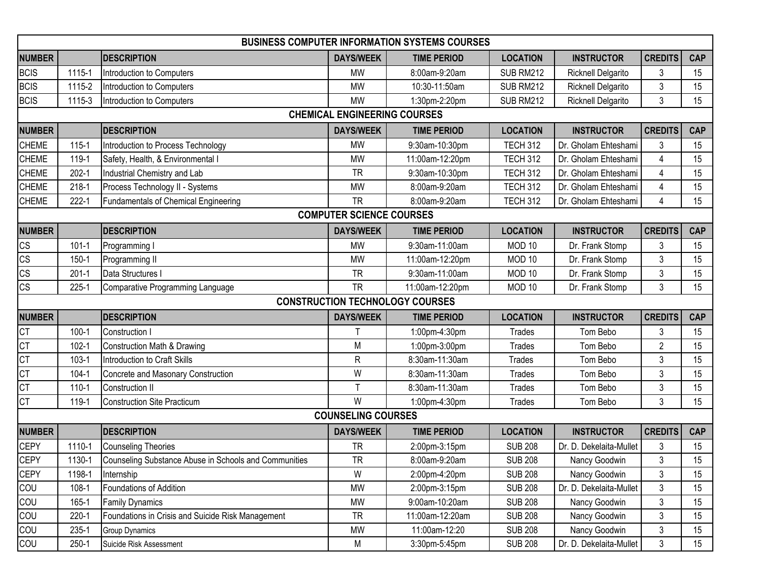|                        |           |                                                       |                                     | <b>BUSINESS COMPUTER INFORMATION SYSTEMS COURSES</b> |                   |                         |                |            |
|------------------------|-----------|-------------------------------------------------------|-------------------------------------|------------------------------------------------------|-------------------|-------------------------|----------------|------------|
| <b>NUMBER</b>          |           | <b>DESCRIPTION</b>                                    | <b>DAYS/WEEK</b>                    | <b>TIME PERIOD</b>                                   | <b>LOCATION</b>   | <b>INSTRUCTOR</b>       | <b>CREDITS</b> | <b>CAP</b> |
| <b>BCIS</b>            | 1115-1    | Introduction to Computers                             | <b>MW</b>                           | 8:00am-9:20am                                        | <b>SUB RM212</b>  | Ricknell Delgarito      | 3              | 15         |
| <b>BCIS</b>            | 1115-2    | Introduction to Computers                             | <b>MW</b>                           | 10:30-11:50am                                        | SUB RM212         | Ricknell Delgarito      | 3              | 15         |
| <b>BCIS</b>            | 1115-3    | Introduction to Computers                             | <b>MW</b>                           | 1:30pm-2:20pm                                        | <b>SUB RM212</b>  | Ricknell Delgarito      | 3              | 15         |
|                        |           |                                                       | <b>CHEMICAL ENGINEERING COURSES</b> |                                                      |                   |                         |                |            |
| <b>NUMBER</b>          |           | <b>DESCRIPTION</b>                                    | <b>DAYS/WEEK</b>                    | <b>TIME PERIOD</b>                                   | <b>LOCATION</b>   | <b>INSTRUCTOR</b>       | <b>CREDITS</b> | <b>CAP</b> |
| <b>CHEME</b>           | $115 - 1$ | Introduction to Process Technology                    | MW                                  | 9:30am-10:30pm                                       | <b>TECH 312</b>   | Dr. Gholam Ehteshami    | 3              | 15         |
| <b>CHEME</b>           | 119-1     | Safety, Health, & Environmental I                     | <b>MW</b>                           | 11:00am-12:20pm                                      | <b>TECH 312</b>   | Dr. Gholam Ehteshami    | 4              | 15         |
| <b>CHEME</b>           | $202 - 1$ | Industrial Chemistry and Lab                          | <b>TR</b>                           | 9:30am-10:30pm                                       | <b>TECH 312</b>   | Dr. Gholam Ehteshami    | 4              | 15         |
| <b>CHEME</b>           | $218 - 1$ | Process Technology II - Systems                       | <b>MW</b>                           | 8:00am-9:20am                                        | <b>TECH 312</b>   | Dr. Gholam Ehteshami    | 4              | 15         |
| <b>CHEME</b>           | $222 - 1$ | Fundamentals of Chemical Engineering                  | <b>TR</b>                           | 8:00am-9:20am                                        | <b>TECH 312</b>   | Dr. Gholam Ehteshami    | 4              | 15         |
|                        |           |                                                       | <b>COMPUTER SCIENCE COURSES</b>     |                                                      |                   |                         |                |            |
| <b>NUMBER</b>          |           | <b>DESCRIPTION</b>                                    | <b>DAYS/WEEK</b>                    | <b>TIME PERIOD</b>                                   | <b>LOCATION</b>   | <b>INSTRUCTOR</b>       | <b>CREDITS</b> | <b>CAP</b> |
| <b>CS</b>              | $101 - 1$ | Programming I                                         | <b>MW</b>                           | 9:30am-11:00am                                       | MOD <sub>10</sub> | Dr. Frank Stomp         | 3              | 15         |
| $\overline{\text{cs}}$ | $150 - 1$ | Programming II                                        | <b>MW</b>                           | 11:00am-12:20pm                                      | MOD <sub>10</sub> | Dr. Frank Stomp         | 3              | 15         |
| $\overline{\text{cs}}$ | $201-1$   | Data Structures I                                     | <b>TR</b>                           | 9:30am-11:00am                                       | MOD <sub>10</sub> | Dr. Frank Stomp         | 3              | 15         |
| $\overline{\text{cs}}$ | $225 - 1$ | Comparative Programming Language                      | <b>TR</b>                           | 11:00am-12:20pm                                      | MOD <sub>10</sub> | Dr. Frank Stomp         | 3              | 15         |
|                        |           |                                                       |                                     | <b>CONSTRUCTION TECHNOLOGY COURSES</b>               |                   |                         |                |            |
| <b>NUMBER</b>          |           | <b>DESCRIPTION</b>                                    | <b>DAYS/WEEK</b>                    | <b>TIME PERIOD</b>                                   | <b>LOCATION</b>   | <b>INSTRUCTOR</b>       | <b>CREDITS</b> | <b>CAP</b> |
| Iст                    | $100 - 1$ | Construction I                                        | T                                   | 1:00pm-4:30pm                                        | Trades            | Tom Bebo                | 3              | 15         |
| $\overline{\text{CT}}$ | $102 - 1$ | Construction Math & Drawing                           | M                                   | 1:00pm-3:00pm                                        | Trades            | Tom Bebo                | $\overline{2}$ | 15         |
| $\overline{\text{CT}}$ | $103 - 1$ | Introduction to Craft Skills                          | $\mathsf R$                         | 8:30am-11:30am                                       | <b>Trades</b>     | Tom Bebo                | 3              | 15         |
| $\overline{\text{CT}}$ | $104 - 1$ | Concrete and Masonary Construction                    | W                                   | 8:30am-11:30am                                       | Trades            | Tom Bebo                | 3              | 15         |
| Iст                    | $110 - 1$ | <b>Construction II</b>                                | T                                   | 8:30am-11:30am                                       | <b>Trades</b>     | Tom Bebo                | 3              | 15         |
| Iст                    | 119-1     | <b>Construction Site Practicum</b>                    | W                                   | 1:00pm-4:30pm                                        | Trades            | Tom Bebo                | 3              | 15         |
|                        |           |                                                       | <b>COUNSELING COURSES</b>           |                                                      |                   |                         |                |            |
| NUMBER                 |           | <b>DESCRIPTION</b>                                    | <b>DAYS/WEEK</b>                    | <b>TIME PERIOD</b>                                   | <b>LOCATION</b>   | <b>INSTRUCTOR</b>       | <b>CREDITS</b> | <b>CAP</b> |
| <b>CEPY</b>            | 1110-1    | Counseling Theories                                   | <b>TR</b>                           | 2:00pm-3:15pm                                        | <b>SUB 208</b>    | Dr. D. Dekelaita-Mullet | 3              | 15         |
| <b>CEPY</b>            | 1130-1    | Counseling Substance Abuse in Schools and Communities | <b>TR</b>                           | 8:00am-9:20am                                        | <b>SUB 208</b>    | Nancy Goodwin           | 3              | 15         |
| CEPY                   | 1198-1    | Internship                                            | W                                   | 2:00pm-4:20pm                                        | <b>SUB 208</b>    | Nancy Goodwin           | 3              | 15         |
| <b>COU</b>             | $108 - 1$ | Foundations of Addition                               | <b>MW</b>                           | 2:00pm-3:15pm                                        | <b>SUB 208</b>    | Dr. D. Dekelaita-Mullet | 3              | 15         |
| COU                    | 165-1     | <b>Family Dynamics</b>                                | <b>MW</b>                           | 9:00am-10:20am                                       | <b>SUB 208</b>    | Nancy Goodwin           | 3              | 15         |
| COU                    | $220 - 1$ | Foundations in Crisis and Suicide Risk Management     | <b>TR</b>                           | 11:00am-12:20am                                      | <b>SUB 208</b>    | Nancy Goodwin           | 3              | 15         |
| cou                    | 235-1     | Group Dynamics                                        | <b>MW</b>                           | 11:00am-12:20                                        | <b>SUB 208</b>    | Nancy Goodwin           | 3              | 15         |
| COU                    | $250-1$   | Suicide Risk Assessment                               | M                                   | 3:30pm-5:45pm                                        | <b>SUB 208</b>    | Dr. D. Dekelaita-Mullet | 3              | 15         |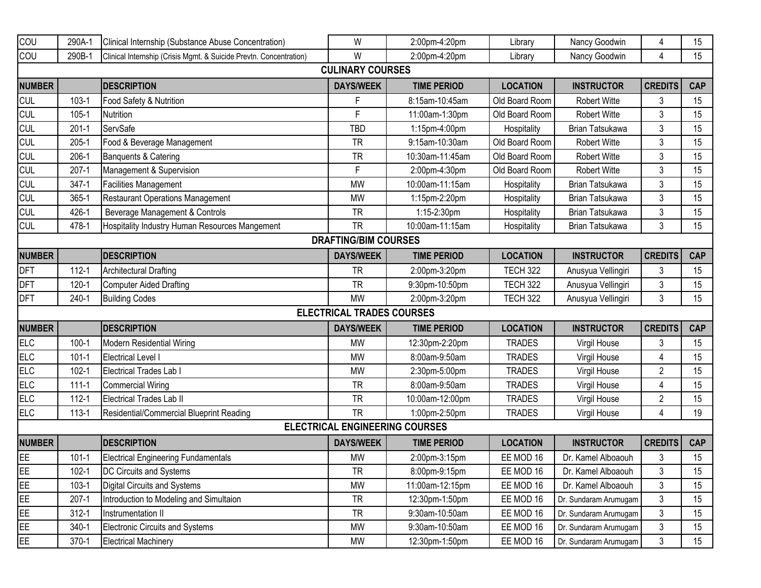| COU           | 290A-1    | Clinical Internship (Substance Abuse Concentration)                | W                                     | 2:00pm-4:20pm      | Library         | Nancy Goodwin         | 4              | 15         |
|---------------|-----------|--------------------------------------------------------------------|---------------------------------------|--------------------|-----------------|-----------------------|----------------|------------|
| COU           | 290B-1    | Clinical Internship (Crisis Mgmt. & Suicide Prevtn. Concentration) | W                                     | 2:00pm-4:20pm      | Library         | Nancy Goodwin         | 4              | 15         |
|               |           |                                                                    | <b>CULINARY COURSES</b>               |                    |                 |                       |                |            |
| <b>NUMBER</b> |           | <b>DESCRIPTION</b>                                                 | <b>DAYS/WEEK</b>                      | <b>TIME PERIOD</b> | <b>LOCATION</b> | <b>INSTRUCTOR</b>     | <b>CREDITS</b> | <b>CAP</b> |
| <b>CUL</b>    | $103-1$   | Food Safety & Nutrition                                            | F                                     | 8:15am-10:45am     | Old Board Room  | <b>Robert Witte</b>   | 3              | 15         |
| <b>CUL</b>    | $105 - 1$ | Nutrition                                                          | F                                     | 11:00am-1:30pm     | Old Board Room  | <b>Robert Witte</b>   | 3              | 15         |
| <b>CUL</b>    | $201 - 1$ | ServSafe                                                           | <b>TBD</b>                            | 1:15pm-4:00pm      | Hospitality     | Brian Tatsukawa       | 3              | 15         |
| <b>CUL</b>    | $205-1$   | Food & Beverage Management                                         | <b>TR</b>                             | 9:15am-10:30am     | Old Board Room  | <b>Robert Witte</b>   | 3              | 15         |
| <b>CUL</b>    | $206-1$   | Banquents & Catering                                               | <b>TR</b>                             | 10:30am-11:45am    | Old Board Room  | <b>Robert Witte</b>   | 3              | 15         |
| <b>CUL</b>    | $207-1$   | Management & Supervision                                           | F                                     | 2:00pm-4:30pm      | Old Board Room  | <b>Robert Witte</b>   | 3              | 15         |
| <b>CUL</b>    | $347 - 1$ | <b>Facilities Management</b>                                       | <b>MW</b>                             | 10:00am-11:15am    | Hospitality     | Brian Tatsukawa       | 3              | 15         |
| <b>CUL</b>    | $365 - 1$ | <b>Restaurant Operations Management</b>                            | <b>MW</b>                             | 1:15pm-2:20pm      | Hospitality     | Brian Tatsukawa       | 3              | 15         |
| <b>CUL</b>    | 426-1     | Beverage Management & Controls                                     | <b>TR</b>                             | 1:15-2:30pm        | Hospitality     | Brian Tatsukawa       | 3              | 15         |
| <b>CUL</b>    | 478-1     | Hospitality Industry Human Resources Mangement                     | <b>TR</b>                             | 10:00am-11:15am    | Hospitality     | Brian Tatsukawa       | 3              | 15         |
|               |           |                                                                    | <b>DRAFTING/BIM COURSES</b>           |                    |                 |                       |                |            |
| <b>NUMBER</b> |           | <b>DESCRIPTION</b>                                                 | <b>DAYS/WEEK</b>                      | <b>TIME PERIOD</b> | <b>LOCATION</b> | <b>INSTRUCTOR</b>     | <b>CREDITS</b> | <b>CAP</b> |
| <b>DFT</b>    | $112 - 1$ | <b>Architectural Drafting</b>                                      | <b>TR</b>                             | 2:00pm-3:20pm      | <b>TECH 322</b> | Anusyua Vellingiri    | 3              | 15         |
| <b>DFT</b>    | $120 - 1$ | Computer Aided Drafting                                            | <b>TR</b>                             | 9:30pm-10:50pm     | <b>TECH 322</b> | Anusyua Vellingiri    | 3              | 15         |
| <b>DFT</b>    | $240-1$   | <b>Building Codes</b>                                              | <b>MW</b>                             | 2:00pm-3:20pm      | <b>TECH 322</b> | Anusyua Vellingiri    | 3              | 15         |
|               |           |                                                                    | <b>ELECTRICAL TRADES COURSES</b>      |                    |                 |                       |                |            |
| <b>NUMBER</b> |           | <b>DESCRIPTION</b>                                                 | <b>DAYS/WEEK</b>                      | <b>TIME PERIOD</b> | <b>LOCATION</b> | <b>INSTRUCTOR</b>     | <b>CREDITS</b> | <b>CAP</b> |
| <b>ELC</b>    | $100 - 1$ | Modern Residential Wiring                                          | <b>MW</b>                             | 12:30pm-2:20pm     | <b>TRADES</b>   | Virgil House          | 3              | 15         |
| <b>ELC</b>    | $101 - 1$ | Electrical Level I                                                 | <b>MW</b>                             | 8:00am-9:50am      | <b>TRADES</b>   | Virgil House          | 4              | 15         |
| <b>ELC</b>    | $102 - 1$ | Electrical Trades Lab I                                            | <b>MW</b>                             | 2:30pm-5:00pm      | <b>TRADES</b>   | Virgil House          | $\overline{2}$ | 15         |
| <b>ELC</b>    | $111 - 1$ | Commercial Wiring                                                  | <b>TR</b>                             | 8:00am-9:50am      | <b>TRADES</b>   | Virgil House          | 4              | 15         |
| <b>ELC</b>    | $112 - 1$ | Electrical Trades Lab II                                           | <b>TR</b>                             | 10:00am-12:00pm    | <b>TRADES</b>   | Virgil House          | $\overline{2}$ | 15         |
| <b>ELC</b>    | $113 - 1$ | Residential/Commercial Blueprint Reading                           | <b>TR</b>                             | 1:00pm-2:50pm      | <b>TRADES</b>   | Virgil House          | 4              | 19         |
|               |           |                                                                    | <b>ELECTRICAL ENGINEERING COURSES</b> |                    |                 |                       |                |            |
| <b>NUMBER</b> |           | <b>IDESCRIPTION</b>                                                | <b>DAYS/WEEK</b>                      | <b>TIME PERIOD</b> | <b>LOCATION</b> | <b>INSTRUCTOR</b>     | <b>CREDITS</b> | <b>CAP</b> |
| EE            | $101 - 1$ | <b>Electrical Engineering Fundamentals</b>                         | <b>MW</b>                             | 2:00pm-3:15pm      | EE MOD 16       | Dr. Kamel Alboaouh    | 3              | 15         |
| EE            | $102 - 1$ | DC Circuits and Systems                                            | <b>TR</b>                             | 8:00pm-9:15pm      | EE MOD 16       | Dr. Kamel Alboaouh    | 3              | 15         |
| EE            | $103-1$   | Digital Circuits and Systems                                       | MW                                    | 11:00am-12:15pm    | EE MOD 16       | Dr. Kamel Alboaouh    | 3              | 15         |
| EE            | $207 - 1$ | Introduction to Modeling and Simultaion                            | <b>TR</b>                             | 12:30pm-1:50pm     | EE MOD 16       | Dr. Sundaram Arumugam | $\mathfrak{Z}$ | 15         |
| EE            | $312 - 1$ | Instrumentation II                                                 | <b>TR</b>                             | 9:30am-10:50am     | EE MOD 16       | Dr. Sundaram Arumugam | 3              | 15         |
| EE            | $340-1$   | Electronic Circuits and Systems                                    | MW                                    | 9:30am-10:50am     | EE MOD 16       | Dr. Sundaram Arumugam | 3              | 15         |
| EE            | 370-1     | <b>Electrical Machinery</b>                                        | <b>MW</b>                             | 12:30pm-1:50pm     | EE MOD 16       | Dr. Sundaram Arumugam | 3              | 15         |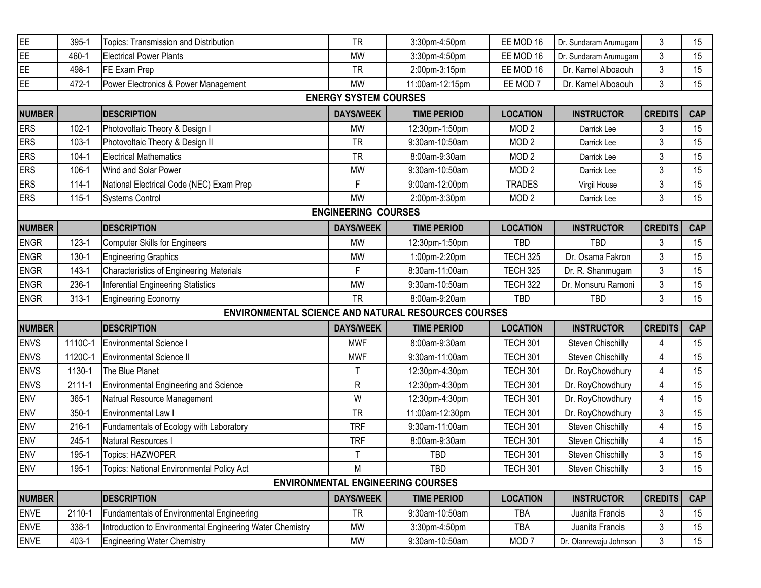| EE                         | 395-1     | Topics: Transmission and Distribution                      | <b>TR</b>                    | 3:30pm-4:50pm                            | EE MOD 16        | Dr. Sundaram Arumugam | 3              | 15         |  |  |  |  |
|----------------------------|-----------|------------------------------------------------------------|------------------------------|------------------------------------------|------------------|-----------------------|----------------|------------|--|--|--|--|
| EE                         | 460-1     | Electrical Power Plants                                    | <b>MW</b>                    | 3:30pm-4:50pm                            | EE MOD 16        | Dr. Sundaram Arumugam | $\mathfrak{Z}$ | 15         |  |  |  |  |
| EE                         | 498-1     | FE Exam Prep                                               | <b>TR</b>                    | 2:00pm-3:15pm                            | EE MOD 16        | Dr. Kamel Alboaouh    | 3              | 15         |  |  |  |  |
| EE                         | 472-1     | Power Electronics & Power Management                       | <b>MW</b>                    | 11:00am-12:15pm                          | EE MOD 7         | Dr. Kamel Alboaouh    | 3              | 15         |  |  |  |  |
|                            |           |                                                            | <b>ENERGY SYSTEM COURSES</b> |                                          |                  |                       |                |            |  |  |  |  |
| <b>NUMBER</b>              |           | <b>DESCRIPTION</b>                                         | <b>DAYS/WEEK</b>             | <b>TIME PERIOD</b>                       | <b>LOCATION</b>  | <b>INSTRUCTOR</b>     | <b>CREDITS</b> | <b>CAP</b> |  |  |  |  |
| <b>ERS</b>                 | $102 - 1$ | Photovoltaic Theory & Design I                             | MW                           | 12:30pm-1:50pm                           | MOD <sub>2</sub> | Darrick Lee           | 3              | 15         |  |  |  |  |
| <b>ERS</b>                 | $103-1$   | Photovoltaic Theory & Design II                            | <b>TR</b>                    | 9:30am-10:50am                           | MOD <sub>2</sub> | Darrick Lee           | 3              | 15         |  |  |  |  |
| <b>ERS</b>                 | $104 - 1$ | <b>Electrical Mathematics</b>                              | <b>TR</b>                    | 8:00am-9:30am                            | MOD <sub>2</sub> | Darrick Lee           | 3              | 15         |  |  |  |  |
| <b>ERS</b>                 | $106-1$   | Wind and Solar Power                                       | <b>MW</b>                    | 9:30am-10:50am                           | MOD <sub>2</sub> | Darrick Lee           | 3              | 15         |  |  |  |  |
| <b>ERS</b>                 | $114 - 1$ | National Electrical Code (NEC) Exam Prep                   | F                            | 9:00am-12:00pm                           | <b>TRADES</b>    | Virgil House          | 3              | 15         |  |  |  |  |
| <b>ERS</b>                 | $115 - 1$ | <b>Systems Control</b>                                     | <b>MW</b>                    | 2:00pm-3:30pm                            | MOD <sub>2</sub> | Darrick Lee           | 3              | 15         |  |  |  |  |
| <b>ENGINEERING COURSES</b> |           |                                                            |                              |                                          |                  |                       |                |            |  |  |  |  |
| <b>NUMBER</b>              |           | <b>DESCRIPTION</b>                                         | <b>DAYS/WEEK</b>             | <b>TIME PERIOD</b>                       | <b>LOCATION</b>  | <b>INSTRUCTOR</b>     | <b>CREDITS</b> | <b>CAP</b> |  |  |  |  |
| <b>ENGR</b>                | $123 - 1$ | Computer Skills for Engineers                              | <b>MW</b>                    | 12:30pm-1:50pm                           | <b>TBD</b>       | <b>TBD</b>            | 3              | 15         |  |  |  |  |
| <b>ENGR</b>                | $130 - 1$ | Engineering Graphics                                       | <b>MW</b>                    | 1:00pm-2:20pm                            | <b>TECH 325</b>  | Dr. Osama Fakron      | 3              | 15         |  |  |  |  |
| <b>ENGR</b>                | $143 - 1$ | Characteristics of Engineering Materials                   | E                            | 8:30am-11:00am                           | <b>TECH 325</b>  | Dr. R. Shanmugam      | 3              | 15         |  |  |  |  |
| <b>ENGR</b>                | 236-1     | Inferential Engineering Statistics                         | <b>MW</b>                    | 9:30am-10:50am                           | <b>TECH 322</b>  | Dr. Monsuru Ramoni    | 3              | 15         |  |  |  |  |
| <b>ENGR</b>                | $313 - 1$ | Engineering Economy                                        | <b>TR</b>                    | 8:00am-9:20am                            | <b>TBD</b>       | <b>TBD</b>            | 3              | 15         |  |  |  |  |
|                            |           | <b>ENVIRONMENTAL SCIENCE AND NATURAL RESOURCES COURSES</b> |                              |                                          |                  |                       |                |            |  |  |  |  |
| <b>NUMBER</b>              |           | <b>DESCRIPTION</b>                                         | <b>DAYS/WEEK</b>             | <b>TIME PERIOD</b>                       | <b>LOCATION</b>  | <b>INSTRUCTOR</b>     | <b>CREDITS</b> | <b>CAP</b> |  |  |  |  |
| <b>ENVS</b>                | 1110C-1   | Environmental Science I                                    | <b>MWF</b>                   | 8:00am-9:30am                            | <b>TECH 301</b>  | Steven Chischilly     | 4              | 15         |  |  |  |  |
| <b>ENVS</b>                | 1120C-1   | <b>Environmental Science II</b>                            | <b>MWF</b>                   | 9:30am-11:00am                           | <b>TECH 301</b>  | Steven Chischilly     | 4              | 15         |  |  |  |  |
| <b>ENVS</b>                | 1130-1    | The Blue Planet                                            | $\top$                       | 12:30pm-4:30pm                           | <b>TECH 301</b>  | Dr. RoyChowdhury      | 4              | 15         |  |  |  |  |
| <b>ENVS</b>                | 2111-1    | Environmental Engineering and Science                      | R                            | 12:30pm-4:30pm                           | <b>TECH 301</b>  | Dr. RoyChowdhury      | 4              | 15         |  |  |  |  |
| <b>ENV</b>                 | 365-1     | Natrual Resource Management                                | W                            | 12:30pm-4:30pm                           | <b>TECH 301</b>  | Dr. RoyChowdhury      | 4              | 15         |  |  |  |  |
| <b>ENV</b>                 | $350 - 1$ | Environmental Law I                                        | <b>TR</b>                    | 11:00am-12:30pm                          | <b>TECH 301</b>  | Dr. RoyChowdhury      | 3              | 15         |  |  |  |  |
| ENV                        | $216-1$   | Fundamentals of Ecology with Laboratory                    | <b>TRF</b>                   | 9:30am-11:00am                           | <b>TECH 301</b>  | Steven Chischilly     | 4              | 15         |  |  |  |  |
| ENV                        | $245 - 1$ | Natural Resources I                                        | <b>TRF</b>                   | 8:00am-9:30am                            | <b>TECH 301</b>  | Steven Chischilly     | 4              | 15         |  |  |  |  |
|                            |           | Topics: HAZWOPER                                           | $\mathsf{T}$                 | TBD                                      | <b>TECH 301</b>  | Steven Chischilly     | 3              | 15         |  |  |  |  |
| <b>ENV</b>                 | 195-1     |                                                            |                              |                                          |                  |                       |                | 15         |  |  |  |  |
| <b>ENV</b>                 | 195-1     | Topics: National Environmental Policy Act                  | M                            | TBD                                      | TECH 301         | Steven Chischilly     | 3              |            |  |  |  |  |
|                            |           |                                                            |                              | <b>ENVIRONMENTAL ENGINEERING COURSES</b> |                  |                       |                |            |  |  |  |  |
| <b>NUMBER</b>              |           | <b>DESCRIPTION</b>                                         | <b>DAYS/WEEK</b>             | <b>TIME PERIOD</b>                       | <b>LOCATION</b>  | <b>INSTRUCTOR</b>     | <b>CREDITS</b> | <b>CAP</b> |  |  |  |  |
| <b>ENVE</b>                | 2110-1    | Fundamentals of Environmental Engineering                  | <b>TR</b>                    | 9:30am-10:50am                           | <b>TBA</b>       | Juanita Francis       | 3              | 15         |  |  |  |  |
| <b>ENVE</b>                | 338-1     | Introduction to Environmental Engineering Water Chemistry  | <b>MW</b>                    | 3:30pm-4:50pm                            | <b>TBA</b>       | Juanita Francis       | 3              | 15         |  |  |  |  |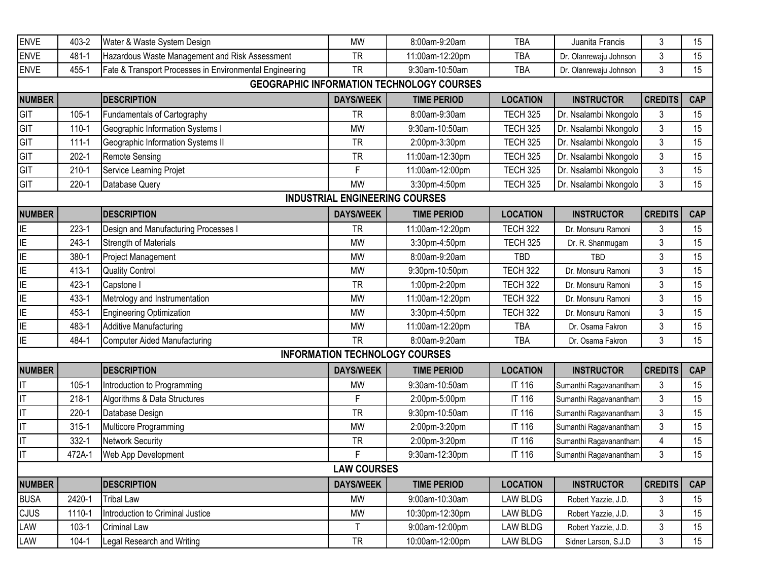| <b>ENVE</b>   | 403-2     | Water & Waste System Design                             | <b>MW</b>                             | 8:00am-9:20am                                    | <b>TBA</b>      | Juanita Francis        | 3              | 15         |
|---------------|-----------|---------------------------------------------------------|---------------------------------------|--------------------------------------------------|-----------------|------------------------|----------------|------------|
| <b>ENVE</b>   | 481-1     | Hazardous Waste Management and Risk Assessment          | <b>TR</b>                             | 11:00am-12:20pm                                  | <b>TBA</b>      | Dr. Olanrewaju Johnson | 3              | 15         |
| <b>ENVE</b>   | 455-1     | Fate & Transport Processes in Environmental Engineering | <b>TR</b>                             | 9:30am-10:50am                                   | <b>TBA</b>      | Dr. Olanrewaju Johnson | 3              | 15         |
|               |           |                                                         |                                       | <b>GEOGRAPHIC INFORMATION TECHNOLOGY COURSES</b> |                 |                        |                |            |
| <b>NUMBER</b> |           | <b>IDESCRIPTION</b>                                     | <b>DAYS/WEEK</b>                      | <b>TIME PERIOD</b>                               | <b>LOCATION</b> | <b>INSTRUCTOR</b>      | <b>CREDITS</b> | <b>CAP</b> |
| GIT           | $105 - 1$ | Fundamentals of Cartography                             | <b>TR</b>                             | 8:00am-9:30am                                    | <b>TECH 325</b> | Dr. Nsalambi Nkongolo  | 3              | 15         |
| GIT           | $110-1$   | Geographic Information Systems I                        | <b>MW</b>                             | 9:30am-10:50am                                   | <b>TECH 325</b> | Dr. Nsalambi Nkongolo  | $\mathfrak{Z}$ | 15         |
| GIT           | $111 - 1$ | Geographic Information Systems II                       | <b>TR</b>                             | 2:00pm-3:30pm                                    | <b>TECH 325</b> | Dr. Nsalambi Nkongolo  | 3              | 15         |
| GIT           | $202 - 1$ | <b>Remote Sensing</b>                                   | <b>TR</b>                             | 11:00am-12:30pm                                  | <b>TECH 325</b> | Dr. Nsalambi Nkongolo  | 3              | 15         |
| GIT           | $210 - 1$ | Service Learning Projet                                 | F                                     | 11:00am-12:00pm                                  | <b>TECH 325</b> | Dr. Nsalambi Nkongolo  | $\mathfrak{Z}$ | 15         |
| GIT           | $220-1$   | Database Query                                          | <b>MW</b>                             | 3:30pm-4:50pm                                    | <b>TECH 325</b> | Dr. Nsalambi Nkongolo  | 3              | 15         |
|               |           |                                                         | <b>INDUSTRIAL ENGINEERING COURSES</b> |                                                  |                 |                        |                |            |
| <b>NUMBER</b> |           | <b>DESCRIPTION</b>                                      | <b>DAYS/WEEK</b>                      | <b>TIME PERIOD</b>                               | <b>LOCATION</b> | <b>INSTRUCTOR</b>      | <b>CREDITS</b> | <b>CAP</b> |
| ΙE            | $223-1$   | Design and Manufacturing Processes I                    | <b>TR</b>                             | 11:00am-12:20pm                                  | <b>TECH 322</b> | Dr. Monsuru Ramoni     | 3              | 15         |
| ΙE            | $243-1$   | Strength of Materials                                   | <b>MW</b>                             | 3:30pm-4:50pm                                    | <b>TECH 325</b> | Dr. R. Shanmugam       | 3              | 15         |
| ΙE            | 380-1     | Project Management                                      | <b>MW</b>                             | 8:00am-9:20am                                    | <b>TBD</b>      | <b>TBD</b>             | 3              | 15         |
| ΙE            | 413-1     | <b>Quality Control</b>                                  | <b>MW</b>                             | 9:30pm-10:50pm                                   | <b>TECH 322</b> | Dr. Monsuru Ramoni     | 3              | 15         |
| ΙE            | 423-1     | Capstone I                                              | <b>TR</b>                             | 1:00pm-2:20pm                                    | <b>TECH 322</b> | Dr. Monsuru Ramoni     | 3              | 15         |
| ΙE            | 433-1     | Metrology and Instrumentation                           | <b>MW</b>                             | 11:00am-12:20pm                                  | <b>TECH 322</b> | Dr. Monsuru Ramoni     | 3              | 15         |
| ΙE            | 453-1     | Engineering Optimization                                | <b>MW</b>                             | 3:30pm-4:50pm                                    | <b>TECH 322</b> | Dr. Monsuru Ramoni     | 3              | 15         |
| ΙE            | 483-1     | <b>Additive Manufacturing</b>                           | <b>MW</b>                             | 11:00am-12:20pm                                  | <b>TBA</b>      | Dr. Osama Fakron       | 3              | 15         |
| ΙE            | 484-1     | Computer Aided Manufacturing                            | <b>TR</b>                             | 8:00am-9:20am                                    | <b>TBA</b>      | Dr. Osama Fakron       | 3              | 15         |
|               |           |                                                         |                                       | <b>INFORMATION TECHNOLOGY COURSES</b>            |                 |                        |                |            |
| <b>NUMBER</b> |           | <b>DESCRIPTION</b>                                      | <b>DAYS/WEEK</b>                      | <b>TIME PERIOD</b>                               | <b>LOCATION</b> | <b>INSTRUCTOR</b>      | <b>CREDITS</b> | <b>CAP</b> |
|               | $105 - 1$ | Introduction to Programming                             | <b>MW</b>                             | 9:30am-10:50am                                   | IT 116          | Sumanthi Ragavanantham | 3              | 15         |
|               | $218-1$   | Algorithms & Data Structures                            | F                                     | 2:00pm-5:00pm                                    | IT 116          | Sumanthi Ragavanantham | 3              | 15         |
|               | $220 - 1$ | Database Design                                         | <b>TR</b>                             | 9:30pm-10:50am                                   | IT 116          | Sumanthi Ragavanantham | 3              | 15         |
|               | $315 - 1$ | Multicore Programming                                   | <b>MW</b>                             | 2:00pm-3:20pm                                    | IT 116          | Sumanthi Ragavanantham | 3              | 15         |
|               | 332-1     | Network Security                                        | <b>TR</b>                             | 2:00pm-3:20pm                                    | IT 116          | Sumanthi Ragavanantham | 4              | 15         |
|               | 472A-1    | Web App Development                                     | F                                     | 9:30am-12:30pm                                   | IT 116          | Sumanthi Ragavanantham | 3              | 15         |
|               |           |                                                         | <b>LAW COURSES</b>                    |                                                  |                 |                        |                |            |
| <b>NUMBER</b> |           | <b>DESCRIPTION</b>                                      | <b>DAYS/WEEK</b>                      | <b>TIME PERIOD</b>                               | <b>LOCATION</b> | <b>INSTRUCTOR</b>      | <b>CREDITS</b> | <b>CAP</b> |
| <b>BUSA</b>   | 2420-1    | <b>Tribal Law</b>                                       | <b>MW</b>                             | 9:00am-10:30am                                   | LAW BLDG        | Robert Yazzie, J.D.    | 3              | 15         |
| CJUS          | 1110-1    | Introduction to Criminal Justice                        | <b>MW</b>                             | 10:30pm-12:30pm                                  | <b>LAW BLDG</b> | Robert Yazzie, J.D.    | 3              | 15         |
| LAW           | $103-1$   | <b>Criminal Law</b>                                     | $\mathsf{T}$                          | 9:00am-12:00pm                                   | <b>LAW BLDG</b> | Robert Yazzie, J.D.    | 3              | 15         |
|               |           |                                                         |                                       |                                                  |                 |                        |                |            |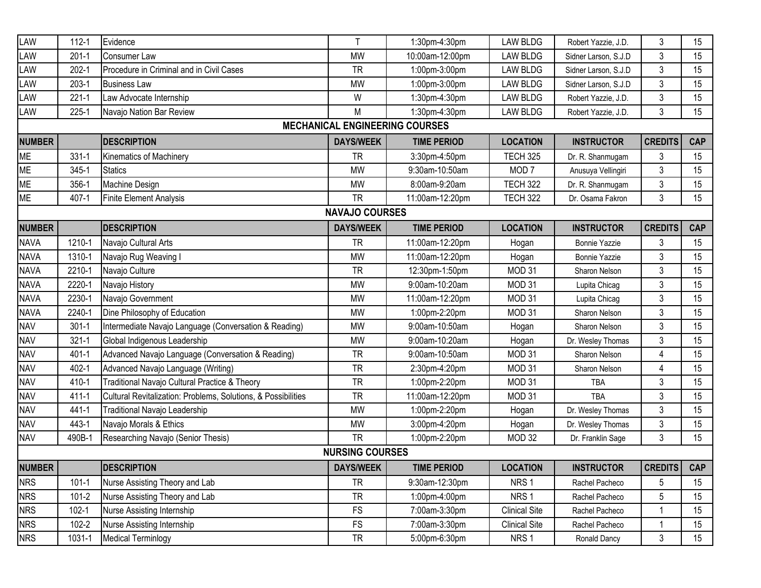| LAW           | $112 - 1$ | Evidence                                                      | $\mathsf{T}$           | 1:30pm-4:30pm                         | <b>LAW BLDG</b>      | Robert Yazzie, J.D.  | 3              | 15         |
|---------------|-----------|---------------------------------------------------------------|------------------------|---------------------------------------|----------------------|----------------------|----------------|------------|
| LAW           | $201 - 1$ | <b>Consumer Law</b>                                           | <b>MW</b>              | 10:00am-12:00pm                       | <b>LAW BLDG</b>      | Sidner Larson, S.J.D | $\mathfrak{Z}$ | 15         |
| LAW           | $202 - 1$ | Procedure in Criminal and in Civil Cases                      | <b>TR</b>              | 1:00pm-3:00pm                         | <b>LAW BLDG</b>      | Sidner Larson, S.J.D | $\mathfrak{Z}$ | 15         |
| LAW           | $203-1$   | <b>Business Law</b>                                           | <b>MW</b>              | 1:00pm-3:00pm                         | <b>LAW BLDG</b>      | Sidner Larson, S.J.D | 3              | 15         |
| LAW           | $221 - 1$ | Law Advocate Internship                                       | W                      | 1:30pm-4:30pm                         | <b>LAW BLDG</b>      | Robert Yazzie, J.D.  | 3              | 15         |
| LAW           | $225 - 1$ | Navajo Nation Bar Review                                      | M                      | 1:30pm-4:30pm                         | <b>LAW BLDG</b>      | Robert Yazzie, J.D.  | $\mathfrak{Z}$ | 15         |
|               |           |                                                               |                        | <b>MECHANICAL ENGINEERING COURSES</b> |                      |                      |                |            |
| <b>NUMBER</b> |           | <b>DESCRIPTION</b>                                            | <b>DAYS/WEEK</b>       | <b>TIME PERIOD</b>                    | <b>LOCATION</b>      | <b>INSTRUCTOR</b>    | <b>CREDITS</b> | <b>CAP</b> |
| ME            | $331 - 1$ | <b>Kinematics of Machinery</b>                                | <b>TR</b>              | 3:30pm-4:50pm                         | <b>TECH 325</b>      | Dr. R. Shanmugam     | 3              | 15         |
| ME            | 345-1     | <b>Statics</b>                                                | <b>MW</b>              | 9:30am-10:50am                        | MOD <sub>7</sub>     | Anusuya Vellingiri   | 3              | 15         |
| <b>ME</b>     | 356-1     | Machine Design                                                | <b>MW</b>              | 8:00am-9:20am                         | <b>TECH 322</b>      | Dr. R. Shanmugam     | 3              | 15         |
| <b>ME</b>     | 407-1     | Finite Element Analysis                                       | <b>TR</b>              | 11:00am-12:20pm                       | <b>TECH 322</b>      | Dr. Osama Fakron     | 3              | 15         |
|               |           |                                                               | <b>NAVAJO COURSES</b>  |                                       |                      |                      |                |            |
| <b>NUMBER</b> |           | <b>DESCRIPTION</b>                                            | <b>DAYS/WEEK</b>       | <b>TIME PERIOD</b>                    | <b>LOCATION</b>      | <b>INSTRUCTOR</b>    | <b>CREDITS</b> | <b>CAP</b> |
| <b>NAVA</b>   | 1210-1    | Navajo Cultural Arts                                          | <b>TR</b>              | 11:00am-12:20pm                       | Hogan                | <b>Bonnie Yazzie</b> | 3              | 15         |
| <b>NAVA</b>   | 1310-1    | Navajo Rug Weaving I                                          | <b>MW</b>              | 11:00am-12:20pm                       | Hogan                | <b>Bonnie Yazzie</b> | $\mathfrak{Z}$ | 15         |
| <b>NAVA</b>   | 2210-1    | Navajo Culture                                                | <b>TR</b>              | 12:30pm-1:50pm                        | MOD 31               | Sharon Nelson        | 3              | 15         |
| <b>NAVA</b>   | 2220-1    | Navajo History                                                | <b>MW</b>              | 9:00am-10:20am                        | MOD 31               | Lupita Chicag        | $\mathfrak{Z}$ | 15         |
| <b>NAVA</b>   | 2230-1    | Navajo Government                                             | <b>MW</b>              | 11:00am-12:20pm                       | MOD 31               | Lupita Chicag        | $\mathfrak{Z}$ | 15         |
| <b>NAVA</b>   | 2240-1    | Dine Philosophy of Education                                  | <b>MW</b>              | 1:00pm-2:20pm                         | MOD 31               | Sharon Nelson        | $\mathfrak{Z}$ | 15         |
| <b>NAV</b>    | $301 - 1$ | Intermediate Navajo Language (Conversation & Reading)         | <b>MW</b>              | 9:00am-10:50am                        | Hogan                | Sharon Nelson        | 3              | 15         |
| <b>NAV</b>    | $321 - 1$ | Global Indigenous Leadership                                  | <b>MW</b>              | 9:00am-10:20am                        | Hogan                | Dr. Wesley Thomas    | 3              | 15         |
| <b>NAV</b>    | 401-1     | Advanced Navajo Language (Conversation & Reading)             | <b>TR</b>              | 9:00am-10:50am                        | MOD 31               | Sharon Nelson        | $\overline{4}$ | 15         |
| <b>NAV</b>    | $402 - 1$ | Advanced Navajo Language (Writing)                            | <b>TR</b>              | 2:30pm-4:20pm                         | MOD 31               | Sharon Nelson        | 4              | 15         |
| <b>NAV</b>    | 410-1     | Traditional Navajo Cultural Practice & Theory                 | <b>TR</b>              | 1:00pm-2:20pm                         | MOD 31               | <b>TBA</b>           | $\mathfrak{Z}$ | 15         |
| <b>NAV</b>    | $411 - 1$ | Cultural Revitalization: Problems, Solutions, & Possibilities | <b>TR</b>              | 11:00am-12:20pm                       | MOD 31               | <b>TBA</b>           | 3              | 15         |
| <b>NAV</b>    | 441-1     | Traditional Navajo Leadership                                 | <b>MW</b>              | 1:00pm-2:20pm                         | Hogan                | Dr. Wesley Thomas    | $\mathfrak{Z}$ | 15         |
| <b>NAV</b>    | 443-1     | Navajo Morals & Ethics                                        | <b>MW</b>              | 3:00pm-4:20pm                         | Hogan                | Dr. Wesley Thomas    | $\mathfrak{Z}$ | 15         |
| <b>NAV</b>    | 490B-1    | Researching Navajo (Senior Thesis)                            | <b>TR</b>              | 1:00pm-2:20pm                         | MOD 32               | Dr. Franklin Sage    | 3              | 15         |
|               |           |                                                               | <b>NURSING COURSES</b> |                                       |                      |                      |                |            |
| <b>NUMBER</b> |           | <b>DESCRIPTION</b>                                            | <b>DAYS/WEEK</b>       | <b>TIME PERIOD</b>                    | <b>LOCATION</b>      | <b>INSTRUCTOR</b>    | <b>CREDITS</b> | <b>CAP</b> |
| <b>NRS</b>    | $101 - 1$ | Nurse Assisting Theory and Lab                                | <b>TR</b>              | 9:30am-12:30pm                        | NRS <sub>1</sub>     | Rachel Pacheco       | 5              | 15         |
| <b>NRS</b>    | $101 - 2$ | Nurse Assisting Theory and Lab                                | <b>TR</b>              | 1:00pm-4:00pm                         | NRS <sub>1</sub>     | Rachel Pacheco       | 5              | 15         |
| <b>NRS</b>    | $102 - 1$ | Nurse Assisting Internship                                    | <b>FS</b>              | 7:00am-3:30pm                         | <b>Clinical Site</b> | Rachel Pacheco       | 1              | 15         |
| <b>NRS</b>    | $102 - 2$ | Nurse Assisting Internship                                    | <b>FS</b>              | 7:00am-3:30pm                         | <b>Clinical Site</b> | Rachel Pacheco       |                | 15         |
| <b>NRS</b>    | 1031-1    | <b>Medical Terminlogy</b>                                     | <b>TR</b>              | 5:00pm-6:30pm                         | NRS <sub>1</sub>     | Ronald Dancy         | 3              | 15         |